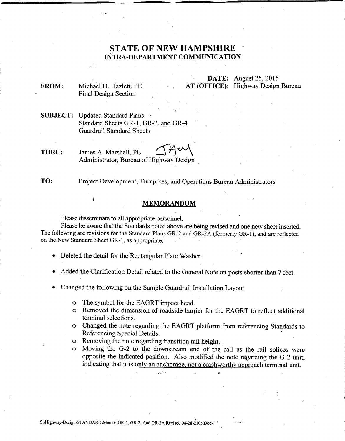## **STATE OF NEW HAMPSHIRE . INTRA-DEPARTMENT COMMUNICATION**

**FROM:** Michael D. Hazlett, PE Final Design Section

**DATE:** August 25,2015 **AT (OFFICE):** Highway Design Bureau

**SUBJECT:** Updated Standard Plans . Standard Sheets GR-l, GR-2, and GR-4 Guardrail Standard Sheets

**THRU:** James A. Marshall, PE Administrator, Bureau of Highway Design.

**TO:** Project Development, Turnpikes, and Operations Bureau Administrators

## **MEMORANDUM**

Please disseminate to all appropriate personneL

Please be aware that the Standards noted above are being revised and one new sheet inserted. The following are revisions for the Standard Plans GR-2 and GR-2A (formerly GR-I), and are reflected on the New Standard! Sheet GR-I, as appropriate: '

• Deleted the detail for the Rectangular Plate Washer.

- Added the Clarification Detail related to the General Note on posts shorter than 7 feet.
- Changed the following on the Sample Guardrail Installation Layout
	- o The symbol for the EAGRT impact head.
	- o Removed the dimension of roadside barrier for the EAGRT to reflect additional terminal selections.

'.J

- o Changed the note regarding the EAGRT platform from referencing Standards to Referencing Special Details.
- o Removing the note regarding transition rail height.

,;."" -~.,

o Moving the G-2 to the downstream end of the rail as the rail splices were opposite the indicated position. Also modified the note regarding the G-2 unit, indicating that it is only an anchorage, not a crashworthy approach terminal unit.